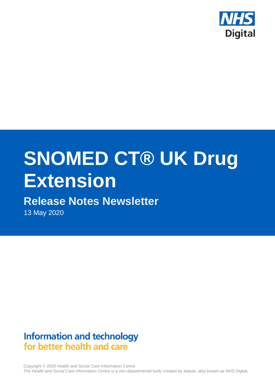

# **SNOMED CT® UK Drug Extension**

# **Release Notes Newsletter**

13 May 2020

# **Information and technology** for better health and care

Copyright © 2020 Health and Social Care Information Centre. The Health and Social Care Information Centre is a non-departmental body created by statute, also known as NHS Digital.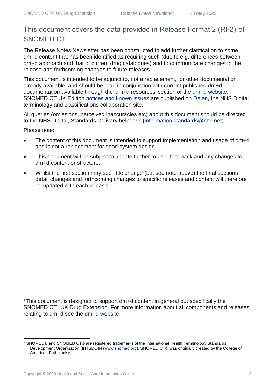## This document covers the data provided in Release Format 2 (RF2) of SNOMED CT

The Release Notes Newsletter has been constructed to add further clarification to some dm+d content that has been identified as requiring such (due to e.g. differences between dm+d approach and that of current drug catalogues) and to communicate changes to the release and forthcoming changes to future releases.

This document is intended to be adjunct to, not a replacement, for other documentation already available, and should be read in conjunction with current published dm+d documentation available through the 'dm+d resources' section of the [dm+d website.](https://www.nhsbsa.nhs.uk/pharmacies-gp-practices-and-appliance-contractors/dictionary-medicines-and-devices-dmd) SNOMED CT UK Edition [notices and known issues](https://hscic.kahootz.com/connect.ti/t_c_home/view?objectId=14224752) are published on [Delen,](https://hscic.kahootz.com/connect.ti/t_c_home) the NHS Digital terminology and classifications collaboration site.

All queries (omissions, perceived inaccuracies etc) about this document should be directed to the NHS Digital, Standards Delivery helpdesk [\(information.standards@nhs.net\)](mailto:information.standards@nhs.net).

Please note:

- The content of this document is intended to support implementation and usage of dm+d and is not a replacement for good system design.
- This document will be subject to update further to user feedback and any changes to dm+d content or structure.
- Whilst the first section may see little change (but see note above) the final sections detail changes and forthcoming changes to specific releases and content will therefore be updated with each release.

\*This document is designed to support dm+d content in general but specifically the SNOMED CT<sup>1</sup> UK Drug Extension. For more information about all components and releases relating to dm+d see the [dm+d website](https://www.nhsbsa.nhs.uk/pharmacies-gp-practices-and-appliance-contractors/dictionary-medicines-and-devices-dmd)

<sup>1</sup> SNOMED® and SNOMED CT® are registered trademarks of the International Health Terminology Standards Development Organisation (IHTSDO®) [\(www.snomed.org\)](http://www.snomed.org/). SNOMED CT® was originally created by the College of American Pathologists.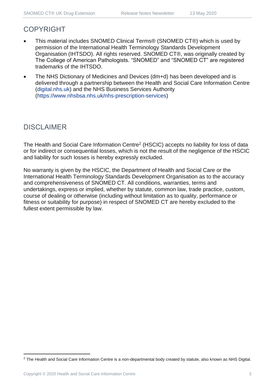## COPYRIGHT

- This material includes SNOMED Clinical Terms® (SNOMED CT®) which is used by permission of the International Health Terminology Standards Development Organisation (IHTSDO). All rights reserved. SNOMED CT®, was originally created by The College of American Pathologists. "SNOMED" and "SNOMED CT" are registered trademarks of the IHTSDO.
- The NHS Dictionary of Medicines and Devices (dm+d) has been developed and is delivered through a partnership between the Health and Social Care Information Centre [\(digital.nhs.uk\)](https://digital.nhs.uk/) and the NHS Business Services Authority [\(https://www.nhsbsa.nhs.uk/nhs-prescription-services\)](https://www.nhsbsa.nhs.uk/nhs-prescription-services)

## DISCLAIMER

The Health and Social Care Information Centre<sup>2</sup> (HSCIC) accepts no liability for loss of data or for indirect or consequential losses, which is not the result of the negligence of the HSCIC and liability for such losses is hereby expressly excluded.

No warranty is given by the HSCIC, the Department of Health and Social Care or the International Health Terminology Standards Development Organisation as to the accuracy and comprehensiveness of SNOMED CT. All conditions, warranties, terms and undertakings, express or implied, whether by statute, common law, trade practice, custom, course of dealing or otherwise (including without limitation as to quality, performance or fitness or suitability for purpose) in respect of SNOMED CT are hereby excluded to the fullest extent permissible by law.

<sup>&</sup>lt;sup>2</sup> The Health and Social Care Information Centre is a non-departmental body created by statute, also known as NHS Digital.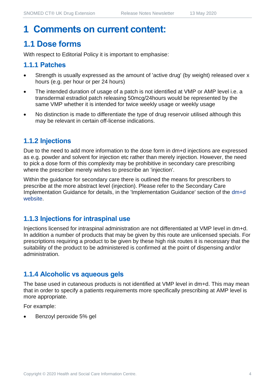## **1 Comments on current content:**

## **1.1 Dose forms**

With respect to Editorial Policy it is important to emphasise:

#### **1.1.1 Patches**

- Strength is usually expressed as the amount of 'active drug' (by weight) released over x hours (e.g. per hour or per 24 hours)
- The intended duration of usage of a patch is not identified at VMP or AMP level i.e. a transdermal estradiol patch releasing 50mcg/24hours would be represented by the same VMP whether it is intended for twice weekly usage or weekly usage
- No distinction is made to differentiate the type of drug reservoir utilised although this may be relevant in certain off-license indications.

#### **1.1.2 Injections**

Due to the need to add more information to the dose form in dm+d injections are expressed as e.g. powder and solvent for injection etc rather than merely injection. However, the need to pick a dose form of this complexity may be prohibitive in secondary care prescribing where the prescriber merely wishes to prescribe an 'injection'.

Within the guidance for secondary care there is outlined the means for prescribers to prescribe at the more abstract level (injection). Please refer to the Secondary Care Implementation Guidance for details, in the 'Implementation Guidance' section of the [dm+d](https://www.nhsbsa.nhs.uk/pharmacies-gp-practices-and-appliance-contractors/dictionary-medicines-and-devices-dmd)  [website.](https://www.nhsbsa.nhs.uk/pharmacies-gp-practices-and-appliance-contractors/dictionary-medicines-and-devices-dmd)

#### **1.1.3 Injections for intraspinal use**

Injections licensed for intraspinal administration are not differentiated at VMP level in dm+d. In addition a number of products that may be given by this route are unlicensed specials. For prescriptions requiring a product to be given by these high risk routes it is necessary that the suitability of the product to be administered is confirmed at the point of dispensing and/or administration.

#### **1.1.4 Alcoholic vs aqueous gels**

The base used in cutaneous products is not identified at VMP level in dm+d. This may mean that in order to specify a patients requirements more specifically prescribing at AMP level is more appropriate.

For example:

• Benzoyl peroxide 5% gel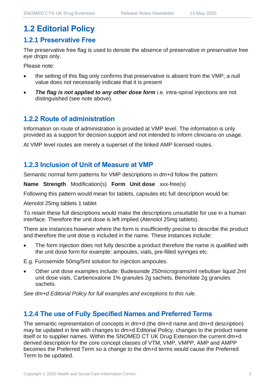## **1.2 Editorial Policy**

#### **1.2.1 Preservative Free**

The preservative free flag is used to denote the absence of preservative in preservative free *eye drops* only.

Please note:

- the setting of this flag only confirms that preservative is absent from the VMP; a null value does not necessarily indicate that it is present
- **The flag is not applied to any other dose form** i.e. intra-spinal injections are not distinguished (see note above).

#### **1.2.2 Route of administration**

Information on route of administration is provided at VMP level. The information is only provided as a support for decision support and not intended to inform clinicians on usage.

At VMP level routes are merely a superset of the linked AMP licensed routes.

#### **1.2.3 Inclusion of Unit of Measure at VMP**

Semantic normal form patterns for VMP descriptions in dm+d follow the pattern:

**Name Strength** Modification(s) **Form Unit dose** xxx-free(s)

Following this pattern would mean for tablets, capsules etc full description would be:

Atenolol 25mg tablets 1 tablet

To retain these full descriptions would make the descriptions unsuitable for use in a human interface. Therefore the unit dose is left implied (Atenolol 25mg tablets).

There are instances however where the form is insufficiently precise to describe the product and therefore the unit dose is included in the name. These instances include:

The form injection does not fully describe a product therefore the name is qualified with the unit dose form for example: ampoules, vials, pre-filled syringes etc.

E.g. Furosemide 50mg/5ml solution for injection ampoules.

• Other unit dose examples include: Budesonide 250micrograms/ml nebuliser liquid 2ml unit dose vials, Carbenoxalone 1% granules 2g sachets, Benorilate 2g granules sachets.

*See dm+d Editorial Policy for full examples and exceptions to this rule.*

#### **1.2.4 The use of Fully Specified Names and Preferred Terms**

The semantic representation of concepts in dm+d (the dm+d name and dm+d description) may be updated in line with changes to dm+d Editorial Policy, changes to the product name itself or to supplier names. Within the SNOMED CT UK Drug Extension the current dm+d derived description for the core concept classes of VTM, VMP, VMPP, AMP and AMPP becomes the Preferred Term so a change to the dm+d terms would cause the Preferred Term to be updated.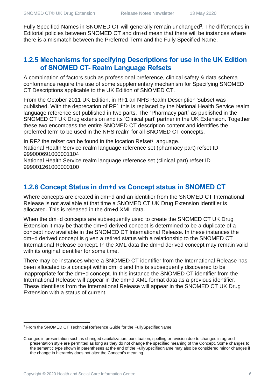Fully Specified Names in SNOMED CT will generally remain unchanged<sup>3</sup>. The differences in Editorial policies between SNOMED CT and dm+d mean that there will be instances where there is a mismatch between the Preferred Term and the Fully Specified Name.

#### **1.2.5 Mechanisms for specifying Descriptions for use in the UK Edition of SNOMED CT- Realm Language Refsets**

A combination of factors such as professional preference, clinical safety & data schema conformance require the use of some supplementary mechanism for Specifying SNOMED CT Descriptions applicable to the UK Edition of SNOMED CT.

From the October 2011 UK Edition, in RF1 an NHS Realm Description Subset was published. With the deprecation of RF1 this is replaced by the National Health Service realm language reference set published in two parts. The "Pharmacy part" as published in the SNOMED CT UK Drug extension and its 'Clinical part' partner in the UK Extension. Together these two encompass the entire SNOMED CT description content and identifies the preferred term to be used in the NHS realm for all SNOMED CT concepts.

In RF2 the refset can be found in the location Refset\Language. National Health Service realm language reference set (pharmacy part) refset ID 999000691000001104

National Health Service realm language reference set (clinical part) refset ID 999001261000000100

#### **1.2.6 Concept Status in dm+d vs Concept status in SNOMED CT**

Where concepts are created in dm+d and an identifier from the SNOMED CT International Release is not available at that time a SNOMED CT UK Drug Extension identifier is allocated. This is released in the dm+d XML data.

When the dm+d concepts are subsequently used to create the SNOMED CT UK Drug Extension it may be that the dm+d derived concept is determined to be a duplicate of a concept now available in the SNOMED CT International Release. In these instances the dm+d derived concept is given a retired status with a relationship to the SNOMED CT International Release concept. In the XML data the dm+d derived concept may remain valid with its original identifier for some time.

There may be instances where a SNOMED CT identifier from the International Release has been allocated to a concept within dm+d and this is subsequently discovered to be inappropriate for the dm+d concept. In this instance the SNOMED CT identifier from the International Release will appear in the dm+d XML format data as a previous identifier. These identifiers from the International Release will appear in the SNOMED CT UK Drug Extension with a status of current.

<sup>3</sup> From the SNOMED CT Technical Reference Guide for the FullySpecifiedName:

Changes in presentation such as changed capitalization, punctuation, spelling or revision due to changes in agreed presentation style are permitted as long as they do not change the specified meaning of the Concept. Some changes to the semantic type shown in parentheses at the end of the FullySpecifiedName may also be considered minor changes if the change in hierarchy does not alter the Concept's meaning.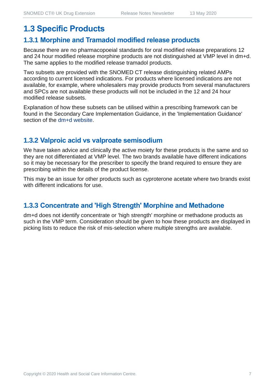## **1.3 Specific Products**

#### **1.3.1 Morphine and Tramadol modified release products**

Because there are no pharmacopoeial standards for oral modified release preparations 12 and 24 hour modified release morphine products are not distinguished at VMP level in dm+d. The same applies to the modified release tramadol products.

Two subsets are provided with the SNOMED CT release distinguishing related AMPs according to current licensed indications. For products where licensed indications are not available, for example, where wholesalers may provide products from several manufacturers and SPCs are not available these products will not be included in the 12 and 24 hour modified release subsets.

Explanation of how these subsets can be utilised within a prescribing framework can be found in the Secondary Care Implementation Guidance, in the 'Implementation Guidance' section of the [dm+d website.](https://www.nhsbsa.nhs.uk/pharmacies-gp-practices-and-appliance-contractors/dictionary-medicines-and-devices-dmd)

#### **1.3.2 Valproic acid vs valproate semisodium**

We have taken advice and clinically the active moiety for these products is the same and so they are not differentiated at VMP level. The two brands available have different indications so it may be necessary for the prescriber to specify the brand required to ensure they are prescribing within the details of the product license.

This may be an issue for other products such as cyproterone acetate where two brands exist with different indications for use.

#### **1.3.3 Concentrate and 'High Strength' Morphine and Methadone**

dm+d does not identify concentrate or 'high strength' morphine or methadone products as such in the VMP term. Consideration should be given to how these products are displayed in picking lists to reduce the risk of mis-selection where multiple strengths are available.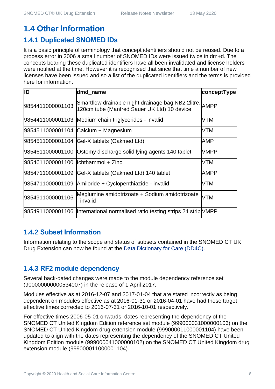## **1.4 Other Information**

#### **1.4.1 Duplicated SNOMED IDs**

It is a basic principle of terminology that concept identifiers should not be reused. Due to a process error in 2006 a small number of SNOMED IDs were issued twice in dm+d. The concepts bearing these duplicated identifiers have all been invalidated and license holders were notified at the time. However it is recognised that since that time a number of new licenses have been issued and so a list of the duplicated identifiers and the terms is provided here for information.

| ID                                  | dmd_name                                                                                               | conceptType |
|-------------------------------------|--------------------------------------------------------------------------------------------------------|-------------|
| 9854411000001103                    | Smartflow drainable night drainage bag NB2 2litre, AMPP<br>120cm tube (Manfred Sauer UK Ltd) 10 device |             |
|                                     | 9854411000001103 Medium chain triglycerides - invalid                                                  | <b>VTM</b>  |
|                                     | 9854511000001104 Calcium + Magnesium                                                                   | <b>VTM</b>  |
|                                     | 9854511000001104 Gel-X tablets (Oakmed Ltd)                                                            | AMP         |
|                                     | 9854611000001100 Ostomy discharge solidifying agents 140 tablet                                        | <b>VMPP</b> |
| 9854611000001100  lchthammol + Zinc |                                                                                                        | <b>VTM</b>  |
| 9854711000001109                    | Gel-X tablets (Oakmed Ltd) 140 tablet                                                                  | <b>AMPP</b> |
|                                     | 9854711000001109 Amiloride + Cyclopenthiazide - invalid                                                | <b>VTM</b>  |
| 9854911000001106                    | Meglumine amidotrizoate + Sodium amidotrizoate<br>- invalid                                            | <b>VTM</b>  |
|                                     | 9854911000001106  International normalised ratio testing strips 24 strip VMPP                          |             |

#### **1.4.2 Subset Information**

Information relating to the scope and status of subsets contained in the SNOMED CT UK Drug Extension can now be found at the [Data Dictionary for Care \(DD4C\).](https://dd4c.digital.nhs.uk/dd4c/)

### **1.4.3 RF2 module dependency**

Several back-dated changes were made to the module dependency reference set (900000000000534007) in the release of 1 April 2017.

Modules effective as at 2016-12-07 and 2017-01-04 that are stated incorrectly as being dependent on modules effective as at 2016-01-31 or 2016-04-01 have had those target effective times corrected to 2016-07-31 or 2016-10-01 respectively.

For effective times 2006-05-01 onwards, dates representing the dependency of the SNOMED CT United Kingdom Edition reference set module (999000031000000106) on the SNOMED CT United Kingdom drug extension module (999000011000001104) have been updated to align with the dates representing the dependency of the SNOMED CT United Kingdom Edition module (999000041000000102) on the SNOMED CT United Kingdom drug extension module (999000011000001104).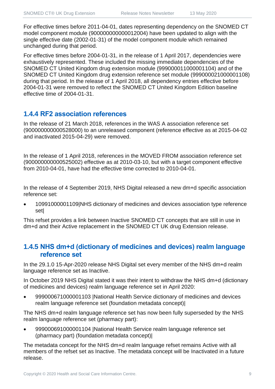For effective times before 2011-04-01, dates representing dependency on the SNOMED CT model component module (900000000000012004) have been updated to align with the single effective date (2002-01-31) of the model component module which remained unchanged during that period.

For effective times before 2004-01-31, in the release of 1 April 2017, dependencies were exhaustively represented. These included the missing immediate dependencies of the SNOMED CT United Kingdom drug extension module (999000011000001104) and of the SNOMED CT United Kingdom drug extension reference set module (999000021000001108) during that period. In the release of 1 April 2018, all dependency entries effective before 2004-01-31 were removed to reflect the SNOMED CT United Kingdom Edition baseline effective time of 2004-01-31.

#### **1.4.4 RF2 association references**

In the release of 21 March 2018, references in the WAS A association reference set (900000000000528000) to an unreleased component (reference effective as at 2015-04-02 and inactivated 2015-04-29) were removed.

In the release of 1 April 2018, references in the MOVED FROM association reference set (900000000000525002) effective as at 2010-03-10, but with a target component effective from 2010-04-01, have had the effective time corrected to 2010-04-01.

In the release of 4 September 2019, NHS Digital released a new dm+d specific association reference set:

• 10991000001109|NHS dictionary of medicines and devices association type reference set|

This refset provides a link between Inactive SNOMED CT concepts that are still in use in dm+d and their Active replacement in the SNOMED CT UK drug Extension release.

#### **1.4.5 NHS dm+d (dictionary of medicines and devices) realm language reference set**

In the 29.1.0 15-Apr-2020 release NHS Digital set every member of the NHS dm+d realm language reference set as Inactive.

In October 2019 NHS Digital stated it was their intent to withdraw the NHS dm+d (dictionary of medicines and devices) realm language reference set in April 2020:

• 999000671000001103 |National Health Service dictionary of medicines and devices realm language reference set (foundation metadata concept)|

The NHS dm+d realm language reference set has now been fully superseded by the NHS realm language reference set (pharmacy part):

• 999000691000001104 |National Health Service realm language reference set (pharmacy part) (foundation metadata concept)|

The metadata concept for the NHS dm+d realm language refset remains Active with all members of the refset set as Inactive. The metadata concept will be Inactivated in a future release.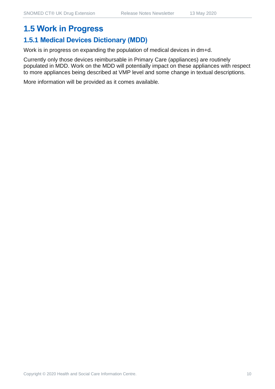## **1.5 Work in Progress**

## **1.5.1 Medical Devices Dictionary (MDD)**

Work is in progress on expanding the population of medical devices in dm+d.

Currently only those devices reimbursable in Primary Care (appliances) are routinely populated in MDD. Work on the MDD will potentially impact on these appliances with respect to more appliances being described at VMP level and some change in textual descriptions.

More information will be provided as it comes available.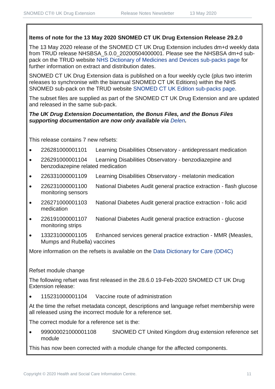#### **Items of note for the 13 May 2020 SNOMED CT UK Drug Extension Release 29.2.0**

The 13 May 2020 release of the SNOMED CT UK Drug Extension includes dm+d weekly data from TRUD release NHSBSA\_5.0.0\_20200504000001. Please see the NHSBSA dm+d subpack on the TRUD website [NHS Dictionary of Medicines and Devices sub-packs page](https://isd.digital.nhs.uk/trud3/user/guest/group/0/pack/6) for further information on extract and distribution dates.

SNOMED CT UK Drug Extension data is published on a four weekly cycle (plus two interim releases to synchronise with the biannual SNOMED CT UK Editions) within the NHS SNOMED sub-pack on the TRUD website [SNOMED CT UK Edition sub-packs page.](https://isd.digital.nhs.uk/trud3/user/guest/group/0/pack/26)

The subset files are supplied as part of the SNOMED CT UK Drug Extension and are updated and released in the same sub-pack.

#### *The UK Drug Extension Documentation, the Bonus Files, and the Bonus Files supporting documentation are now only available via [Delen](https://hscic.kahootz.com/connect.ti/t_c_home/view?objectId=14540272).*

This release contains 7 new refsets:

- 226281000001101 Learning Disabilities Observatory antidepressant medication
- 226291000001104 Learning Disabilities Observatory benzodiazepine and benzodiazepine related medication
- 226331000001109 Learning Disabilities Observatory melatonin medication
- 226231000001100 National Diabetes Audit general practice extraction flash glucose monitoring sensors
- 226271000001103 National Diabetes Audit general practice extraction folic acid medication
- 226191000001107 National Diabetes Audit general practice extraction glucose monitoring strips
- 133231000001105 Enhanced services general practice extraction MMR (Measles, Mumps and Rubella) vaccines

More information on the refsets is available on the [Data Dictionary for Care \(DD4C\)](https://dd4c.digital.nhs.uk/dd4c/)

#### Refset module change

The following refset was first released in the 28.6.0 19-Feb-2020 SNOMED CT UK Drug Extension release:

• 115231000001104 Vaccine route of administration

At the time the refset metadata concept, descriptions and language refset membership were all released using the incorrect module for a reference set.

The correct module for a reference set is the:

• 999000021000001108 SNOMED CT United Kingdom drug extension reference set module

This has now been corrected with a module change for the affected components.